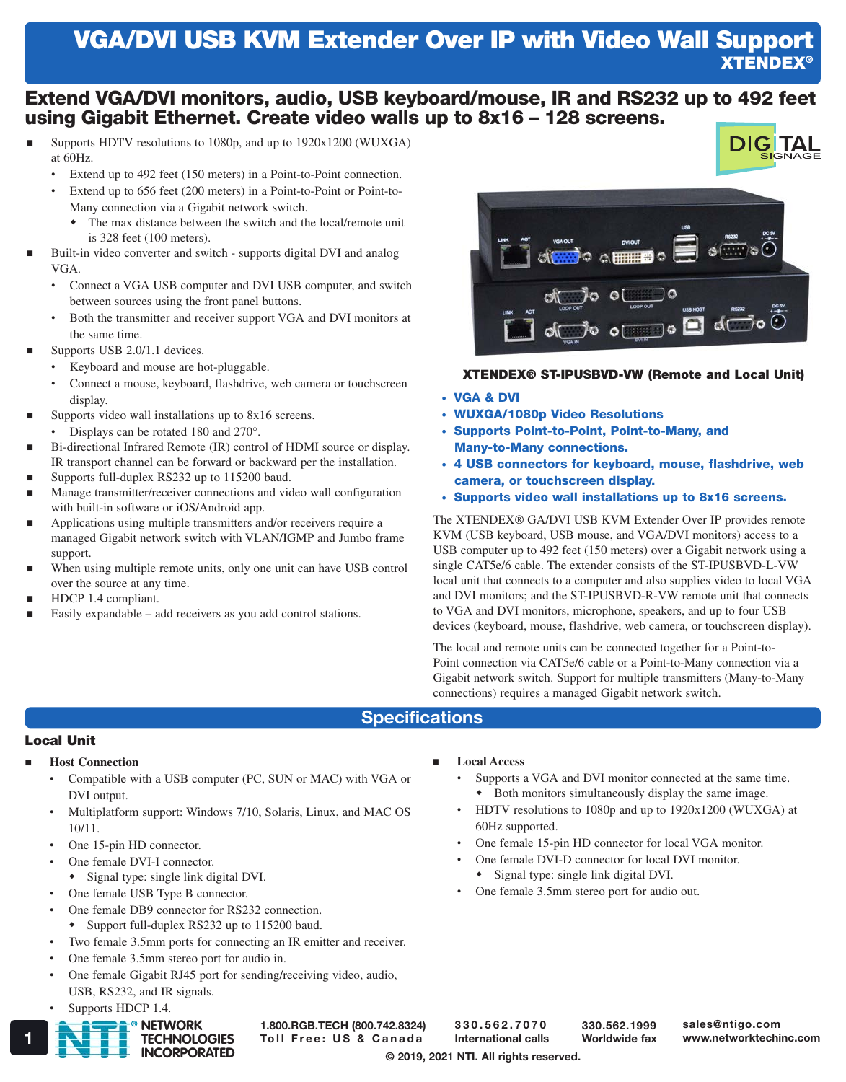# VGA/DVI USB KVM Extender Over IP with Video Wall Support XTENDEX®

### Extend VGA/DVI monitors, audio, USB keyboard/mouse, IR and RS232 up to 492 feet using Gigabit Ethernet. Create video walls up to 8x16 – 128 screens.

- Supports HDTV resolutions to 1080p, and up to 1920x1200 (WUXGA) at 60Hz.
	- Extend up to 492 feet (150 meters) in a Point-to-Point connection.
	- Extend up to 656 feet (200 meters) in a Point-to-Point or Point-to-Many connection via a Gigabit network switch.
		- The max distance between the switch and the local/remote unit is 328 feet (100 meters).
- Built-in video converter and switch supports digital DVI and analog VGA.
	- Connect a VGA USB computer and DVI USB computer, and switch between sources using the front panel buttons.
	- Both the transmitter and receiver support VGA and DVI monitors at the same time.
- Supports USB 2.0/1.1 devices.
	- Keyboard and mouse are hot-pluggable.
	- Connect a mouse, keyboard, flashdrive, web camera or touchscreen display.
- Supports video wall installations up to 8x16 screens.
	- Displays can be rotated 180 and 270°.
- Bi-directional Infrared Remote (IR) control of HDMI source or display. IR transport channel can be forward or backward per the installation.
- Supports full-duplex RS232 up to 115200 baud.
- Manage transmitter/receiver connections and video wall configuration with built-in software or iOS/Android app.
- Applications using multiple transmitters and/or receivers require a managed Gigabit network switch with VLAN/IGMP and Jumbo frame support.
- When using multiple remote units, only one unit can have USB control over the source at any time.
- HDCP 1.4 compliant.
- Easily expandable add receivers as you add control stations.



**DIGITAI** 

#### XTENDEX® ST-IPUSBVD-VW (Remote and Local Unit)

- VGA & DVI
- WUXGA/1080p Video Resolutions
- Supports Point-to-Point, Point-to-Many, and Many-to-Many connections.
- 4 USB connectors for keyboard, mouse, flashdrive, web camera, or touchscreen display.
- Supports video wall installations up to 8x16 screens.

The XTENDEX® GA/DVI USB KVM Extender Over IP provides remote KVM (USB keyboard, USB mouse, and VGA/DVI monitors) access to a USB computer up to 492 feet (150 meters) over a Gigabit network using a single CAT5e/6 cable. The extender consists of the ST-IPUSBVD-L-VW local unit that connects to a computer and also supplies video to local VGA and DVI monitors; and the ST-IPUSBVD-R-VW remote unit that connects to VGA and DVI monitors, microphone, speakers, and up to four USB devices (keyboard, mouse, flashdrive, web camera, or touchscreen display).

The local and remote units can be connected together for a Point-to-Point connection via CAT5e/6 cable or a Point-to-Many connection via a Gigabit network switch. Support for multiple transmitters (Many-to-Many connections) requires a managed Gigabit network switch.

#### **Specifications**

#### Local Unit

- **Host Connection**
	- Compatible with a USB computer (PC, SUN or MAC) with VGA or DVI output.
	- Multiplatform support: Windows 7/10, Solaris, Linux, and MAC OS 10/11.
	- One 15-pin HD connector.
	- One female DVI-I connector.
	- Signal type: single link digital DVI.
	- One female USB Type B connector.
	- One female DB9 connector for RS232 connection.
	- Support full-duplex RS232 up to 115200 baud.
	- Two female 3.5mm ports for connecting an IR emitter and receiver.
	- One female 3.5mm stereo port for audio in.
	- One female Gigabit RJ45 port for sending/receiving video, audio, USB, RS232, and IR signals.
	- Supports HDCP 1.4.



## 1.800.RGB.TECH (800.742.8324)

- **Local Access**
	- Supports a VGA and DVI monitor connected at the same time. Both monitors simultaneously display the same image.
	- HDTV resolutions to 1080p and up to 1920x1200 (WUXGA) at 60Hz supported.
	- One female 15-pin HD connector for local VGA monitor.
	- One female DVI-D connector for local DVI monitor. Signal type: single link digital DVI.
	- One female 3.5mm stereo port for audio out.

330.562.7070 International calls

© 2019, 2021 NTI. All rights reserved.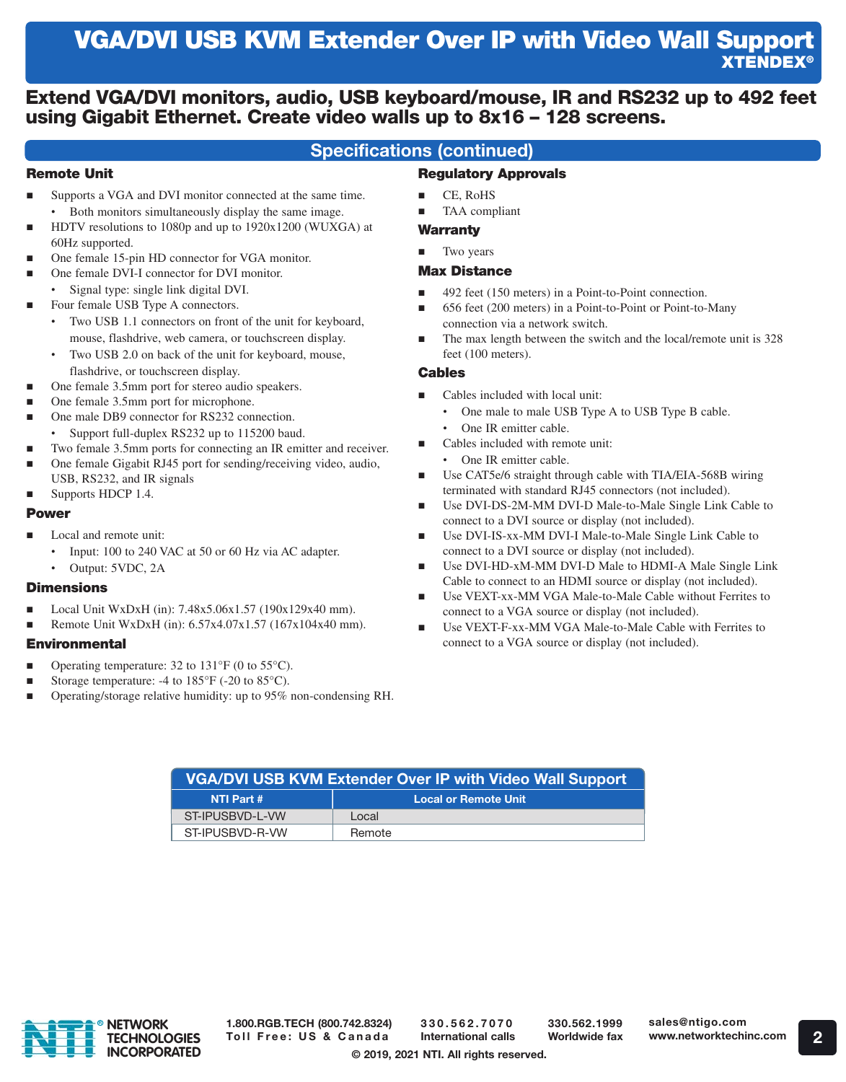# VGA/DVI USB KVM Extender Over IP with Video Wall Support XTENDEX®

### Extend VGA/DVI monitors, audio, USB keyboard/mouse, IR and RS232 up to 492 feet using Gigabit Ethernet. Create video walls up to 8x16 – 128 screens.

### Specifications (continued)

#### Remote Unit

- Supports a VGA and DVI monitor connected at the same time. • Both monitors simultaneously display the same image.
- HDTV resolutions to 1080p and up to 1920x1200 (WUXGA) at 60Hz supported.
- One female 15-pin HD connector for VGA monitor.
- One female DVI-I connector for DVI monitor.
- Signal type: single link digital DVI.
- Four female USB Type A connectors.
	- Two USB 1.1 connectors on front of the unit for keyboard, mouse, flashdrive, web camera, or touchscreen display.
	- Two USB 2.0 on back of the unit for keyboard, mouse, flashdrive, or touchscreen display.
- One female 3.5mm port for stereo audio speakers.
- One female 3.5mm port for microphone.
- One male DB9 connector for RS232 connection.
	- Support full-duplex RS232 up to 115200 baud.
- Two female 3.5mm ports for connecting an IR emitter and receiver. One female Gigabit RJ45 port for sending/receiving video, audio,
- USB, RS232, and IR signals Supports HDCP 1.4.

#### Power

- Local and remote unit:
	- Input: 100 to 240 VAC at 50 or 60 Hz via AC adapter.
	- Output: 5VDC, 2A

#### **Dimensions**

- Local Unit WxDxH (in): 7.48x5.06x1.57 (190x129x40 mm).
- Remote Unit WxDxH (in): 6.57x4.07x1.57 (167x104x40 mm).

#### **Environmental**

- **Operating temperature:** 32 to  $131^{\circ}F$  (0 to  $55^{\circ}C$ ).
- Storage temperature: -4 to 185°F (-20 to 85°C).
- Operating/storage relative humidity: up to 95% non-condensing RH.

#### $CE$ , RoHS

TAA compliant

Regulatory Approvals

#### **Warranty**

Two years

#### Max Distance

- 492 feet (150 meters) in a Point-to-Point connection.
- 656 feet (200 meters) in a Point-to-Point or Point-to-Many connection via a network switch.
- The max length between the switch and the local/remote unit is 328 feet (100 meters).

#### Cables

- Cables included with local unit:
	- One male to male USB Type A to USB Type B cable.
	- One IR emitter cable.
	- Cables included with remote unit:
	- One IR emitter cable.
- Use CAT5e/6 straight through cable with TIA/EIA-568B wiring terminated with standard RJ45 connectors (not included).
- Use DVI-DS-2M-MM DVI-D Male-to-Male Single Link Cable to connect to a DVI source or display (not included).
- Use DVI-IS-xx-MM DVI-I Male-to-Male Single Link Cable to connect to a DVI source or display (not included).
- Use DVI-HD-xM-MM DVI-D Male to HDMI-A Male Single Link Cable to connect to an HDMI source or display (not included).
- Use VEXT-xx-MM VGA Male-to-Male Cable without Ferrites to connect to a VGA source or display (not included).
- Use VEXT-F-xx-MM VGA Male-to-Male Cable with Ferrites to connect to a VGA source or display (not included).

| <b>VGA/DVI USB KVM Extender Over IP with Video Wall Support</b> |                             |
|-----------------------------------------------------------------|-----------------------------|
| NTI Part #                                                      | <b>Local or Remote Unit</b> |
| ST-IPUSBVD-L-VW                                                 | Local.                      |
| ST-IPUSBVD-R-VW                                                 | Remote                      |



1.800.RGB.TECH (800.742.8324) Toll Free: US & Canada

330.562.7070 International calls

330.562.1999 Worldwide fax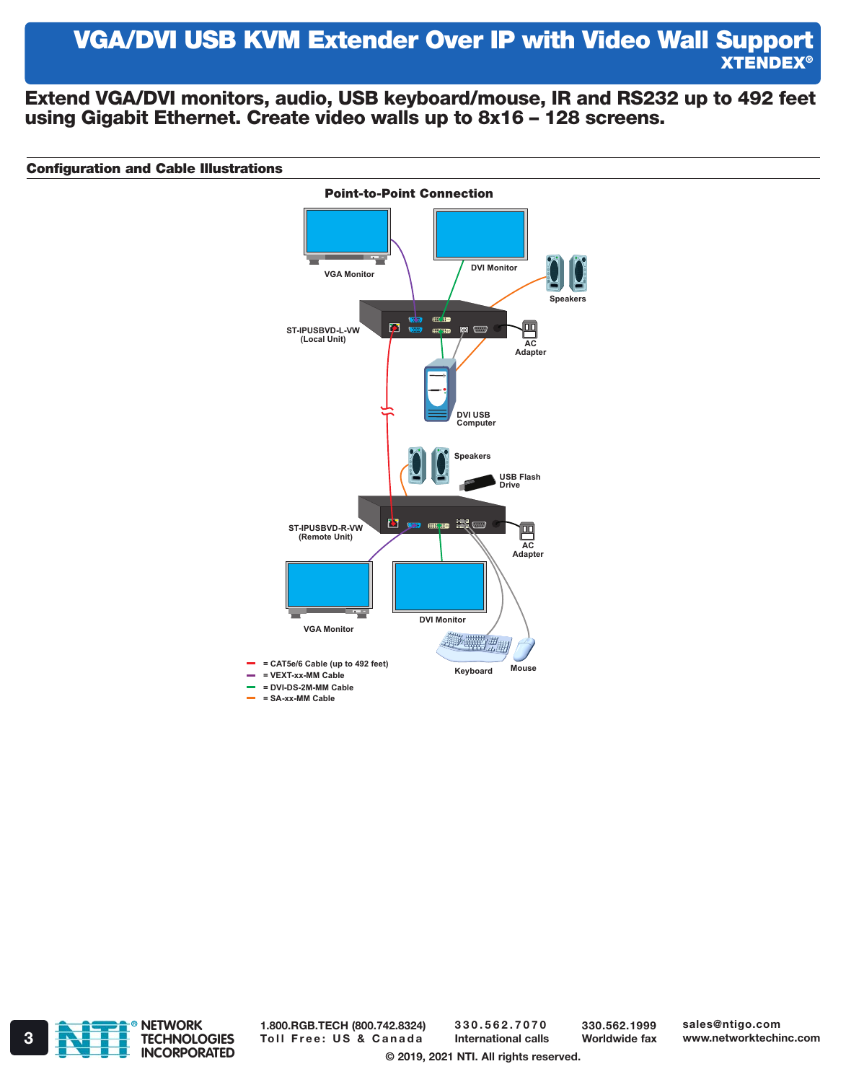## VGA/DVI USB KVM Extender Over IP with Video Wall Support XTENDEX®

Extend VGA/DVI monitors, audio, USB keyboard/mouse, IR and RS232 up to 492 feet using Gigabit Ethernet. Create video walls up to 8x16 – 128 screens.

#### Configuration and Cable Illustrations





1.800.RGB.TECH (800.742.8324) 3 **Toll Free: US & Canada** International calls Worldwide fax www.networktechinc.com

330.562.7070 International calls